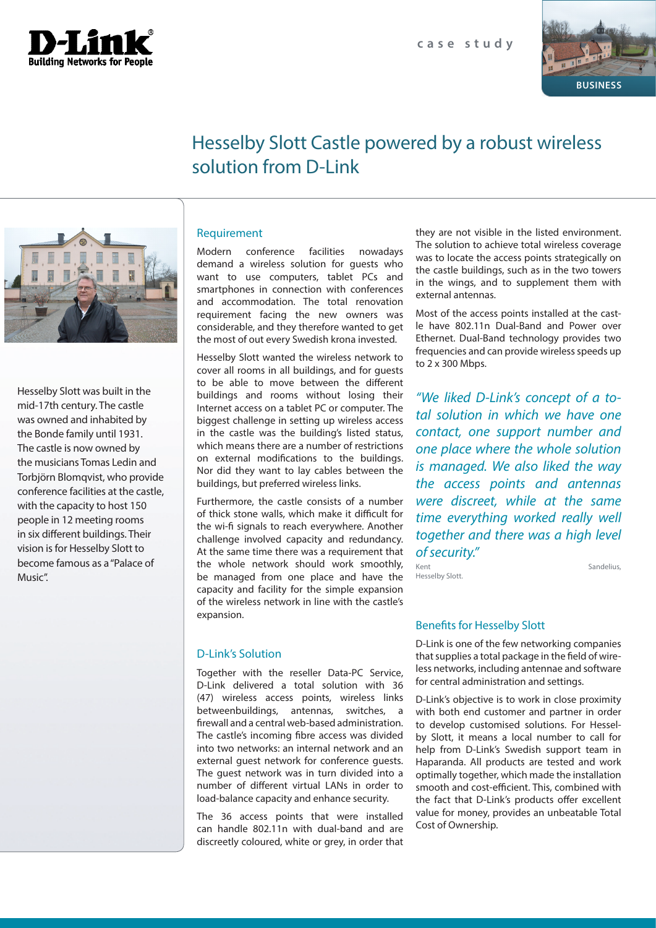



# Hesselby Slott Castle powered by a robust wireless solution from D-Link



Hesselby Slott was built in the mid-17th century. The castle was owned and inhabited by the Bonde family until 1931. The castle is now owned by the musicians Tomas Ledin and Torbjörn Blomqvist, who provide conference facilities at the castle, with the capacity to host 150 people in 12 meeting rooms in six different buildings. Their vision is for Hesselby Slott to become famous as a "Palace of Music".

## Requirement

Modern conference facilities nowadays demand a wireless solution for guests who want to use computers, tablet PCs and smartphones in connection with conferences and accommodation. The total renovation requirement facing the new owners was considerable, and they therefore wanted to get the most of out every Swedish krona invested.

Hesselby Slott wanted the wireless network to cover all rooms in all buildings, and for guests to be able to move between the different buildings and rooms without losing their Internet access on a tablet PC or computer. The biggest challenge in setting up wireless access in the castle was the building's listed status, which means there are a number of restrictions on external modifications to the buildings. Nor did they want to lay cables between the buildings, but preferred wireless links.

Furthermore, the castle consists of a number of thick stone walls, which make it difficult for the wi-fi signals to reach everywhere. Another challenge involved capacity and redundancy. At the same time there was a requirement that the whole network should work smoothly, be managed from one place and have the capacity and facility for the simple expansion of the wireless network in line with the castle's expansion.

## D-Link's Solution

Together with the reseller Data-PC Service, D-Link delivered a total solution with 36 (47) wireless access points, wireless links betweenbuildings, antennas, switches, a firewall and a central web-based administration. The castle's incoming fibre access was divided into two networks: an internal network and an external guest network for conference guests. The guest network was in turn divided into a number of different virtual LANs in order to load-balance capacity and enhance security.

The 36 access points that were installed can handle 802.11n with dual-band and are discreetly coloured, white or grey, in order that they are not visible in the listed environment. The solution to achieve total wireless coverage was to locate the access points strategically on the castle buildings, such as in the two towers in the wings, and to supplement them with external antennas.

Most of the access points installed at the castle have 802.11n Dual-Band and Power over Ethernet. Dual-Band technology provides two frequencies and can provide wireless speeds up to 2 x 300 Mbps.

*"We liked D-Link's concept of a total solution in which we have one contact, one support number and one place where the whole solution is managed. We also liked the way the access points and antennas were discreet, while at the same time everything worked really well together and there was a high level of security."*

Hesselby Slott.

Kent Sandelius,

## Benefits for Hesselby Slott

D-Link is one of the few networking companies that supplies a total package in the field of wireless networks, including antennae and software for central administration and settings.

D-Link's objective is to work in close proximity with both end customer and partner in order to develop customised solutions. For Hesselby Slott, it means a local number to call for help from D-Link's Swedish support team in Haparanda. All products are tested and work optimally together, which made the installation smooth and cost-efficient. This, combined with the fact that D-Link's products offer excellent value for money, provides an unbeatable Total Cost of Ownership.